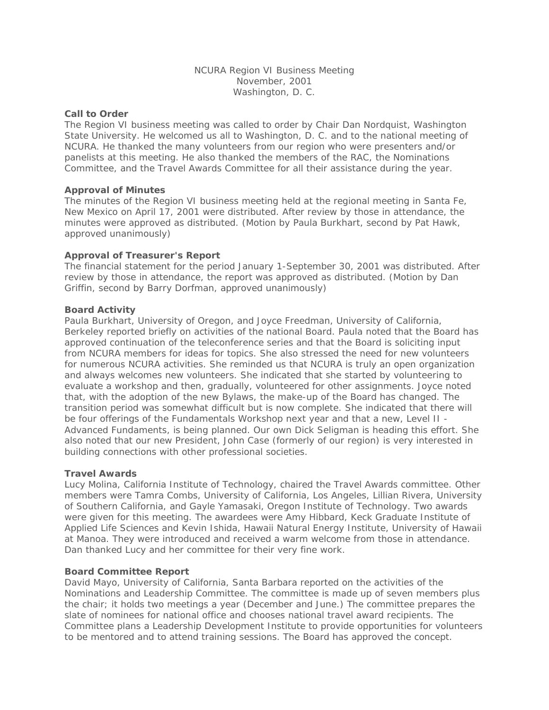NCURA Region VI Business Meeting November, 2001 Washington, D. C.

#### **Call to Order**

The Region VI business meeting was called to order by Chair Dan Nordquist, Washington State University. He welcomed us all to Washington, D. C. and to the national meeting of NCURA. He thanked the many volunteers from our region who were presenters and/or panelists at this meeting. He also thanked the members of the RAC, the Nominations Committee, and the Travel Awards Committee for all their assistance during the year.

## **Approval of Minutes**

The minutes of the Region VI business meeting held at the regional meeting in Santa Fe, New Mexico on April 17, 2001 were distributed. After review by those in attendance, the minutes were approved as distributed. (Motion by Paula Burkhart, second by Pat Hawk, approved unanimously)

## **Approval of Treasurer's Report**

The financial statement for the period January 1-September 30, 2001 was distributed. After review by those in attendance, the report was approved as distributed. (Motion by Dan Griffin, second by Barry Dorfman, approved unanimously)

## **Board Activity**

Paula Burkhart, University of Oregon, and Joyce Freedman, University of California, Berkeley reported briefly on activities of the national Board. Paula noted that the Board has approved continuation of the teleconference series and that the Board is soliciting input from NCURA members for ideas for topics. She also stressed the need for new volunteers for numerous NCURA activities. She reminded us that NCURA is truly an open organization and always welcomes new volunteers. She indicated that she started by volunteering to evaluate a workshop and then, gradually, volunteered for other assignments. Joyce noted that, with the adoption of the new Bylaws, the make-up of the Board has changed. The transition period was somewhat difficult but is now complete. She indicated that there will be four offerings of the Fundamentals Workshop next year and that a new, Level II - Advanced Fundaments, is being planned. Our own Dick Seligman is heading this effort. She also noted that our new President, John Case (formerly of our region) is very interested in building connections with other professional societies.

#### **Travel Awards**

Lucy Molina, California Institute of Technology, chaired the Travel Awards committee. Other members were Tamra Combs, University of California, Los Angeles, Lillian Rivera, University of Southern California, and Gayle Yamasaki, Oregon Institute of Technology. Two awards were given for this meeting. The awardees were Amy Hibbard, Keck Graduate Institute of Applied Life Sciences and Kevin Ishida, Hawaii Natural Energy Institute, University of Hawaii at Manoa. They were introduced and received a warm welcome from those in attendance. Dan thanked Lucy and her committee for their very fine work.

#### **Board Committee Report**

David Mayo, University of California, Santa Barbara reported on the activities of the Nominations and Leadership Committee. The committee is made up of seven members plus the chair; it holds two meetings a year (December and June.) The committee prepares the slate of nominees for national office and chooses national travel award recipients. The Committee plans a Leadership Development Institute to provide opportunities for volunteers to be mentored and to attend training sessions. The Board has approved the concept.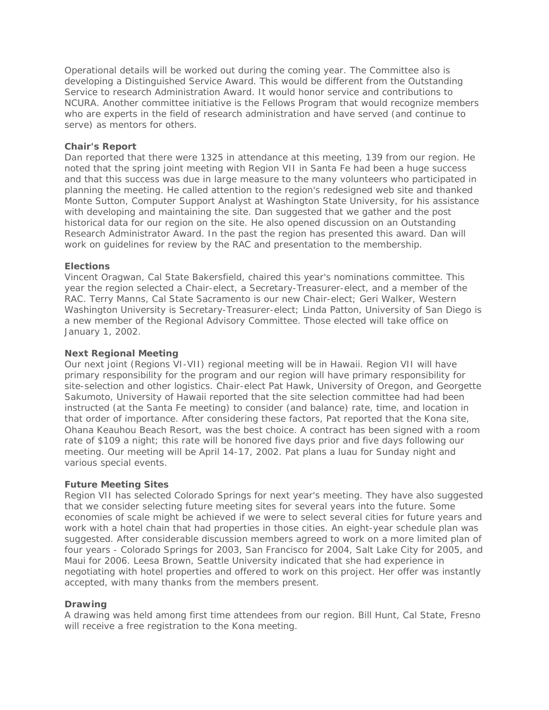Operational details will be worked out during the coming year. The Committee also is developing a Distinguished Service Award. This would be different from the Outstanding Service to research Administration Award. It would honor service and contributions to NCURA. Another committee initiative is the Fellows Program that would recognize members who are experts in the field of research administration and have served (and continue to serve) as mentors for others.

## **Chair's Report**

Dan reported that there were 1325 in attendance at this meeting, 139 from our region. He noted that the spring joint meeting with Region VII in Santa Fe had been a huge success and that this success was due in large measure to the many volunteers who participated in planning the meeting. He called attention to the region's redesigned web site and thanked Monte Sutton, Computer Support Analyst at Washington State University, for his assistance with developing and maintaining the site. Dan suggested that we gather and the post historical data for our region on the site. He also opened discussion on an Outstanding Research Administrator Award. In the past the region has presented this award. Dan will work on guidelines for review by the RAC and presentation to the membership.

## **Elections**

Vincent Oragwan, Cal State Bakersfield, chaired this year's nominations committee. This year the region selected a Chair-elect, a Secretary-Treasurer-elect, and a member of the RAC. Terry Manns, Cal State Sacramento is our new Chair-elect; Geri Walker, Western Washington University is Secretary-Treasurer-elect; Linda Patton, University of San Diego is a new member of the Regional Advisory Committee. Those elected will take office on January 1, 2002.

## **Next Regional Meeting**

Our next joint (Regions VI-VII) regional meeting will be in Hawaii. Region VII will have primary responsibility for the program and our region will have primary responsibility for site-selection and other logistics. Chair-elect Pat Hawk, University of Oregon, and Georgette Sakumoto, University of Hawaii reported that the site selection committee had had been instructed (at the Santa Fe meeting) to consider (and balance) rate, time, and location in that order of importance. After considering these factors, Pat reported that the Kona site, Ohana Keauhou Beach Resort, was the best choice. A contract has been signed with a room rate of \$109 a night; this rate will be honored five days prior and five days following our meeting. Our meeting will be April 14-17, 2002. Pat plans a luau for Sunday night and various special events.

# **Future Meeting Sites**

Region VII has selected Colorado Springs for next year's meeting. They have also suggested that we consider selecting future meeting sites for several years into the future. Some economies of scale might be achieved if we were to select several cities for future years and work with a hotel chain that had properties in those cities. An eight-year schedule plan was suggested. After considerable discussion members agreed to work on a more limited plan of four years - Colorado Springs for 2003, San Francisco for 2004, Salt Lake City for 2005, and Maui for 2006. Leesa Brown, Seattle University indicated that she had experience in negotiating with hotel properties and offered to work on this project. Her offer was instantly accepted, with many thanks from the members present.

#### **Drawing**

A drawing was held among first time attendees from our region. Bill Hunt, Cal State, Fresno will receive a free registration to the Kona meeting.